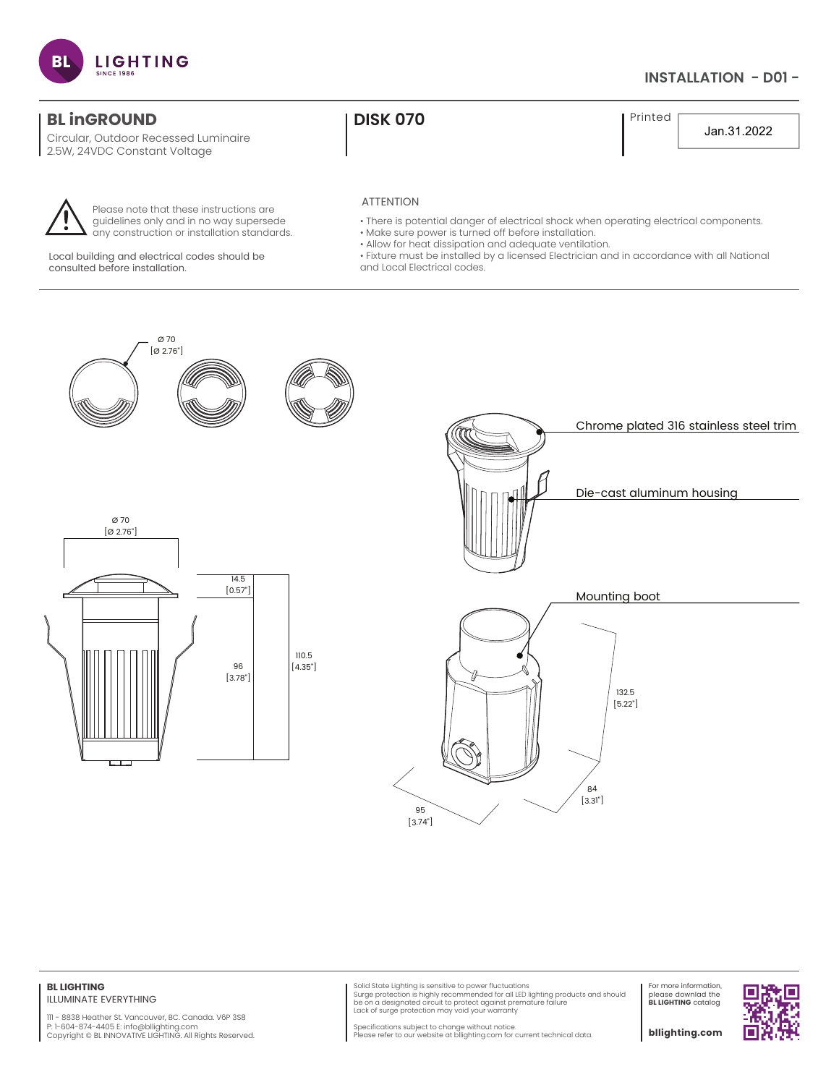

# **INSTALLATION - D01 -**

# **BL inGROUND CONSUMING THE RESERVE OF A LIGAN CONSUMING THE PRINTED PRINTED I** Printed

Circular, Outdoor Recessed Luminaire 2.5W, 24VDC Constant Voltage



Please note that these instructions are guidelines only and in no way supersede any construction or installation standards.

Local building and electrical codes should be consulted before installation.

Jan.31.2022

#### ATTENTION

- There is potential danger of electrical shock when operating electrical components.
- Make sure power is turned off before installation.
- Allow for heat dissipation and adequate ventilation.
- Fixture must be installed by a licensed Electrician and in accordance with all National and Local Electrical codes.







#### **BL LIGHTING** ILLUMINATE EVERYTHING

111 - 8838 Heather St. Vancouver, BC. Canada. V6P 3S8 P: 1-604-874-4405 E: info@bllighting.com Copyright © BL INNOVATIVE LIGHTING. All Rights Reserved.

Solid State Lighting is sensitive to power fluctuations<br>Surge protection is highly recommended for all LED lighting products and should<br>be on a designated circuit to protect against premature failure Lack of surge protection may void your warranty

For more information, please downlad the **BL LIGHTING** catalog

Specifications subject to change without notice. Please refer to our website at bllighting.com for current technical data.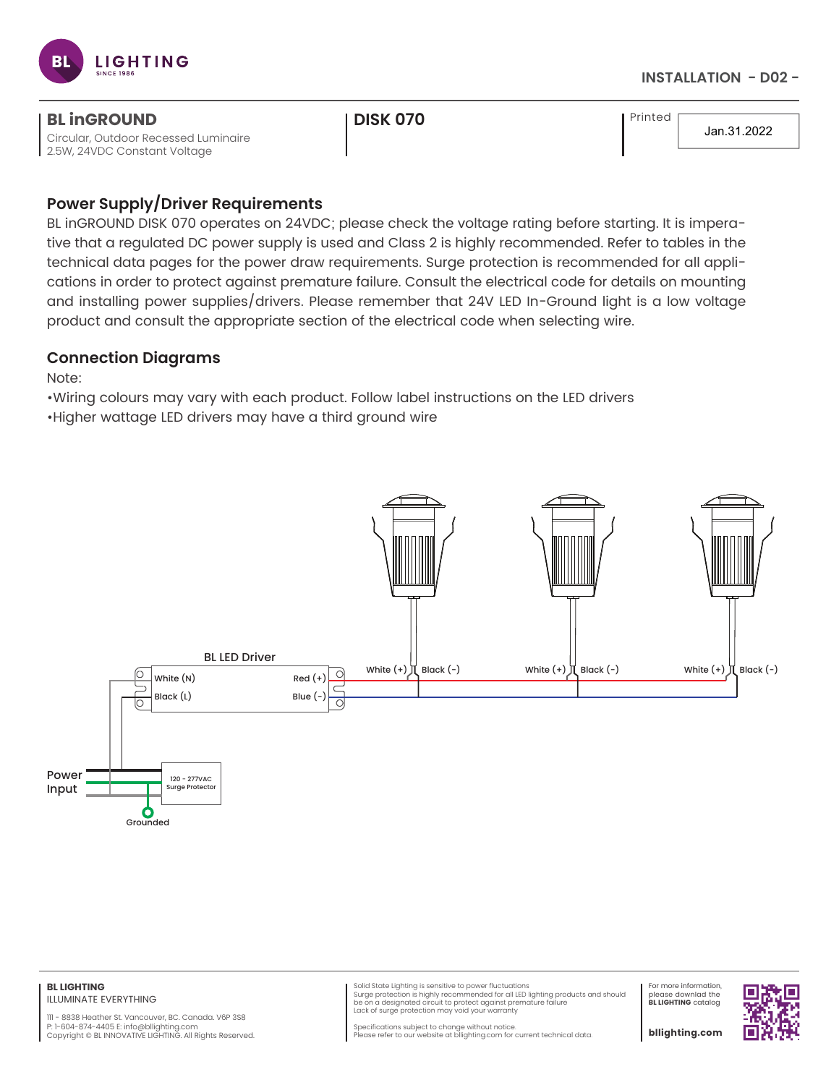

### **INSTALLATION - D02 -**

| <b>BL inGROUND</b>                   | <b>I DISK 070</b> | I Printed |             |
|--------------------------------------|-------------------|-----------|-------------|
| Circular, Outdoor Recessed Luminaire |                   |           | Jan.31.2022 |
| 2.5W, 24VDC Constant Voltage         |                   |           |             |

# **Power Supply/Driver Requirements**

BL inGROUND DISK 070 operates on 24VDC; please check the voltage rating before starting. It is imperative that a regulated DC power supply is used and Class 2 is highly recommended. Refer to tables in the technical data pages for the power draw requirements. Surge protection is recommended for all applications in order to protect against premature failure. Consult the electrical code for details on mounting and installing power supplies/drivers. Please remember that 24V LED In-Ground light is a low voltage product and consult the appropriate section of the electrical code when selecting wire.

# **Connection Diagrams**

Note:

•Wiring colours may vary with each product. Follow label instructions on the LED drivers

•Higher wattage LED drivers may have a third ground wire



111 - 8838 Heather St. Vancouver, BC. Canada. V6P 3S8 P: 1-604-874-4405 E: info@bllighting.com Copyright © BL INNOVATIVE LIGHTING. All Rights Reserved.

Solid State Lighting is sensitive to power fluctuations<br>Surge protection is highly recommended for all LED lighting products and should<br>be on a designated circuit to protect against premature failure Lack of surge protection may void your warranty

For more information, please downlad the **BL LIGHTING** catalog

П

Specifications subject to change without notice. Please refer to our website at bllighting.com for current technical data.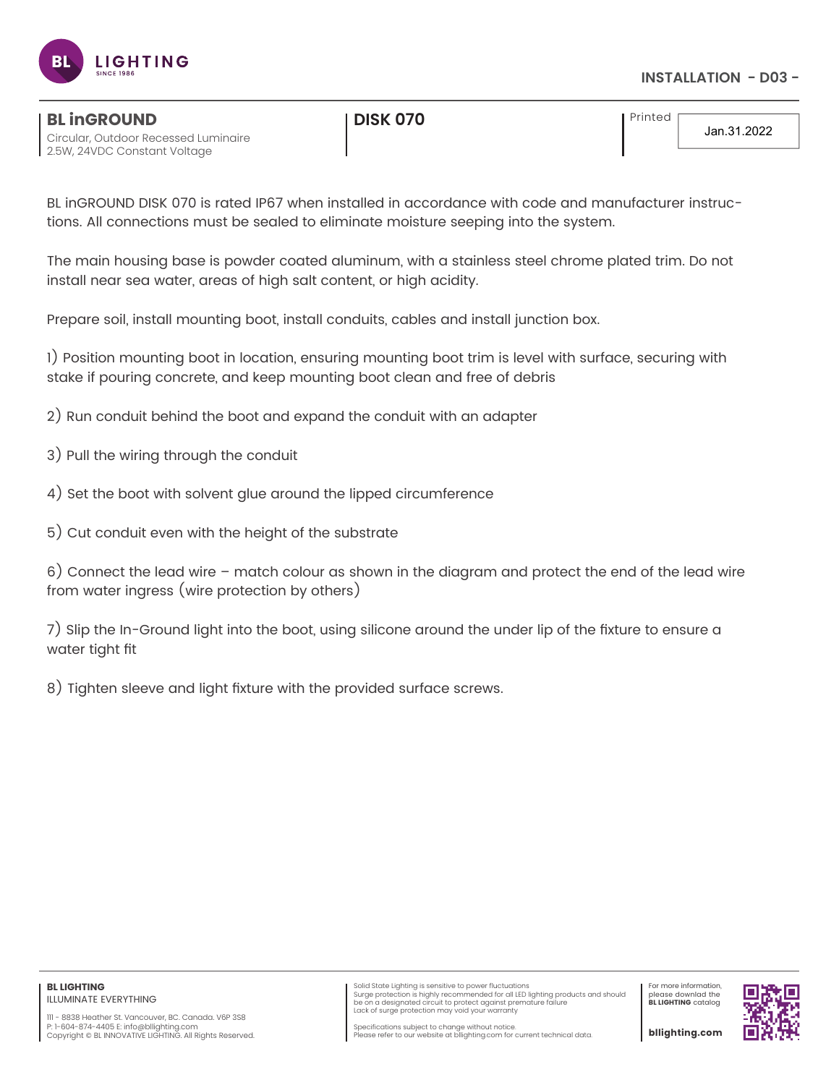

#### Circular, Outdoor Recessed Luminaire **BL inGROUND CONSUMING THE RESERVE OF A LIGAN CONSUMING THE RESERVE OF A LIGAN CONSUMING THE PRINTED OF A LIGAN CONSUMING THE <b>Printed**

2.5W, 24VDC Constant Voltage

Jan.31.2022

BL inGROUND DISK 070 is rated IP67 when installed in accordance with code and manufacturer instructions. All connections must be sealed to eliminate moisture seeping into the system.

The main housing base is powder coated aluminum, with a stainless steel chrome plated trim. Do not install near sea water, areas of high salt content, or high acidity.

Prepare soil, install mounting boot, install conduits, cables and install junction box.

1) Position mounting boot in location, ensuring mounting boot trim is level with surface, securing with stake if pouring concrete, and keep mounting boot clean and free of debris

- 2) Run conduit behind the boot and expand the conduit with an adapter
- 3) Pull the wiring through the conduit
- 4) Set the boot with solvent glue around the lipped circumference
- 5) Cut conduit even with the height of the substrate

6) Connect the lead wire – match colour as shown in the diagram and protect the end of the lead wire from water ingress (wire protection by others)

7) Slip the In-Ground light into the boot, using silicone around the under lip of the fixture to ensure a water tight fit

8) Tighten sleeve and light fixture with the provided surface screws.

Solid State Lighting is sensitive to power fluctuations<br>Surge protection is highly recommended for all LED lighting products and should<br>be on a designated circuit to protect against premature failure Lack of surge protection may void your warranty

For more information, please downlad the **BL LIGHTING** catalog



Specifications subject to change without notice. Please refer to our website at bllighting.com for current technical data.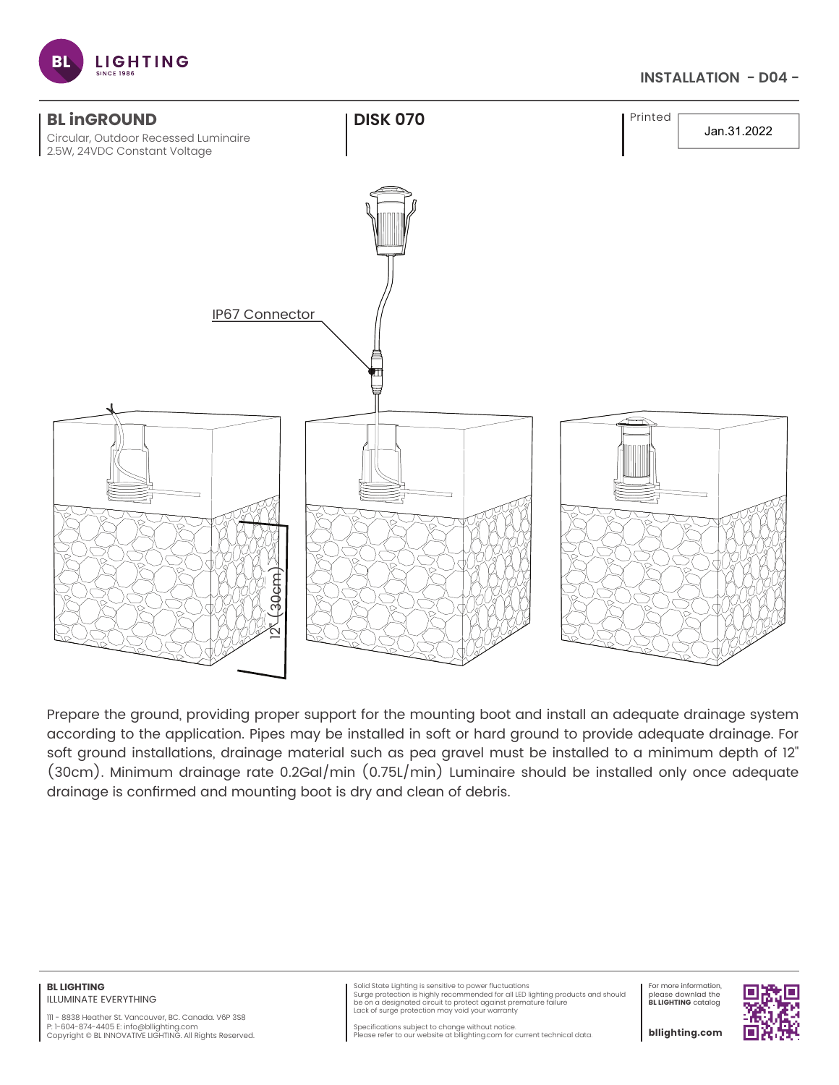

## **INSTALLATION - D04 -**



Prepare the ground, providing proper support for the mounting boot and install an adequate drainage system according to the application. Pipes may be installed in soft or hard ground to provide adequate drainage. For soft ground installations, drainage material such as pea gravel must be installed to a minimum depth of 12" (30cm). Minimum drainage rate 0.2Gal/min (0.75L/min) Luminaire should be installed only once adequate drainage is confirmed and mounting boot is dry and clean of debris.

#### **BL LIGHTING** ILLUMINATE EVERYTHING

111 - 8838 Heather St. Vancouver, BC. Canada. V6P 3S8 P: 1-604-874-4405 E: info@bllighting.com Copyright © BL INNOVATIVE LIGHTING. All Rights Reserved.

Solid State Lighting is sensitive to power fluctuations<br>Surge protection is highly recommended for all LED lighting products and should<br>be on a designated circuit to protect against premature failure Lack of surge protection may void your warranty

For more information, please downlad the **BL LIGHTING** catalog



Specifications subject to change without notice. Please refer to our website at bllighting.com for current technical data.